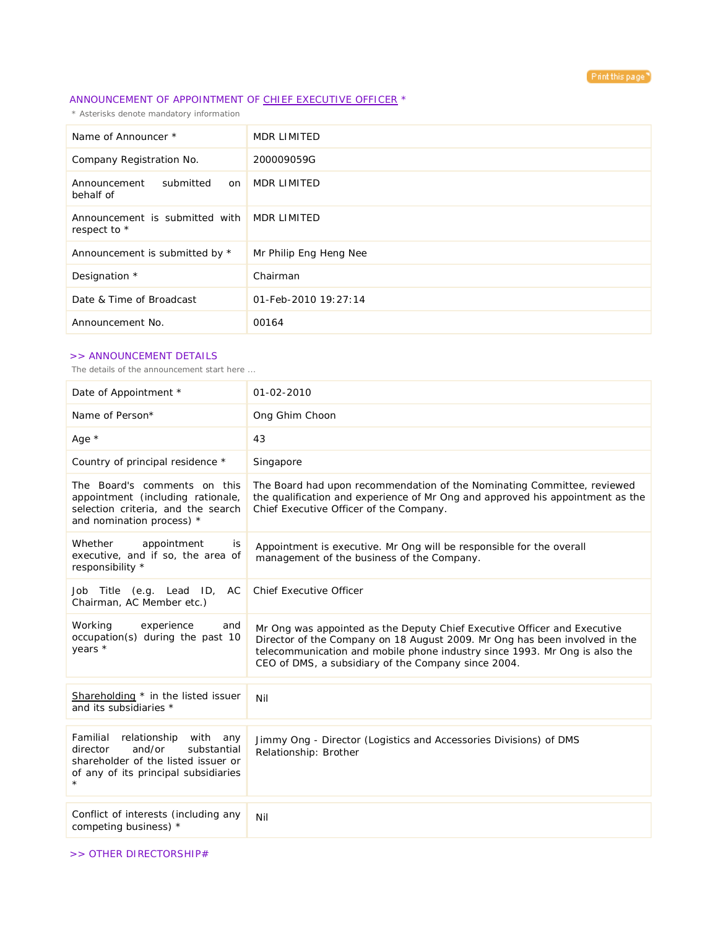

## ANNOUNCEMENT OF APPOINTMENT OF CHIEF EXECUTIVE OFFICER \*

*\* Asterisks denote mandatory information*

| Name of Announcer *                            | MDR LIMITED            |
|------------------------------------------------|------------------------|
| Company Registration No.                       | 200009059G             |
| Announcement<br>submitted<br>on<br>behalf of   | <b>MDR LIMITED</b>     |
| Announcement is submitted with<br>respect to * | MDR LIMITED            |
| Announcement is submitted by *                 | Mr Philip Eng Heng Nee |
| Designation *                                  | Chairman               |
| Date & Time of Broadcast                       | 01-Feb-2010 19:27:14   |
| Announcement No.                               | 00164                  |

## >> ANNOUNCEMENT DETAILS

*The details of the announcement start here ...*

| Date of Appointment *                                                                                                                                    | 01-02-2010                                                                                                                                                                                                                                                                                  |  |
|----------------------------------------------------------------------------------------------------------------------------------------------------------|---------------------------------------------------------------------------------------------------------------------------------------------------------------------------------------------------------------------------------------------------------------------------------------------|--|
| Name of Person*                                                                                                                                          | Ong Ghim Choon                                                                                                                                                                                                                                                                              |  |
| Age $*$                                                                                                                                                  | 43                                                                                                                                                                                                                                                                                          |  |
| Country of principal residence *                                                                                                                         | Singapore                                                                                                                                                                                                                                                                                   |  |
| The Board's comments on this<br>appointment (including rationale,<br>selection criteria, and the search<br>and nomination process) *                     | The Board had upon recommendation of the Nominating Committee, reviewed<br>the qualification and experience of Mr Ong and approved his appointment as the<br>Chief Executive Officer of the Company.                                                                                        |  |
| Whether<br>appointment<br>is<br>executive, and if so, the area of<br>responsibility *                                                                    | Appointment is executive. Mr Ong will be responsible for the overall<br>management of the business of the Company.                                                                                                                                                                          |  |
| (e.g. Lead ID, AC<br>Job Title<br>Chairman, AC Member etc.)                                                                                              | <b>Chief Executive Officer</b>                                                                                                                                                                                                                                                              |  |
| Working<br>experience<br>and<br>occupation(s) during the past 10<br>years $*$                                                                            | Mr Ong was appointed as the Deputy Chief Executive Officer and Executive<br>Director of the Company on 18 August 2009. Mr Ong has been involved in the<br>telecommunication and mobile phone industry since 1993. Mr Ong is also the<br>CEO of DMS, a subsidiary of the Company since 2004. |  |
| Shareholding * in the listed issuer<br>and its subsidiaries *                                                                                            | Nil                                                                                                                                                                                                                                                                                         |  |
| relationship with<br>Familial<br>any<br>and/or<br>director<br>substantial<br>shareholder of the listed issuer or<br>of any of its principal subsidiaries | Jimmy Ong - Director (Logistics and Accessories Divisions) of DMS<br>Relationship: Brother                                                                                                                                                                                                  |  |
| Conflict of interests (including any<br>competing business) *                                                                                            | Nil                                                                                                                                                                                                                                                                                         |  |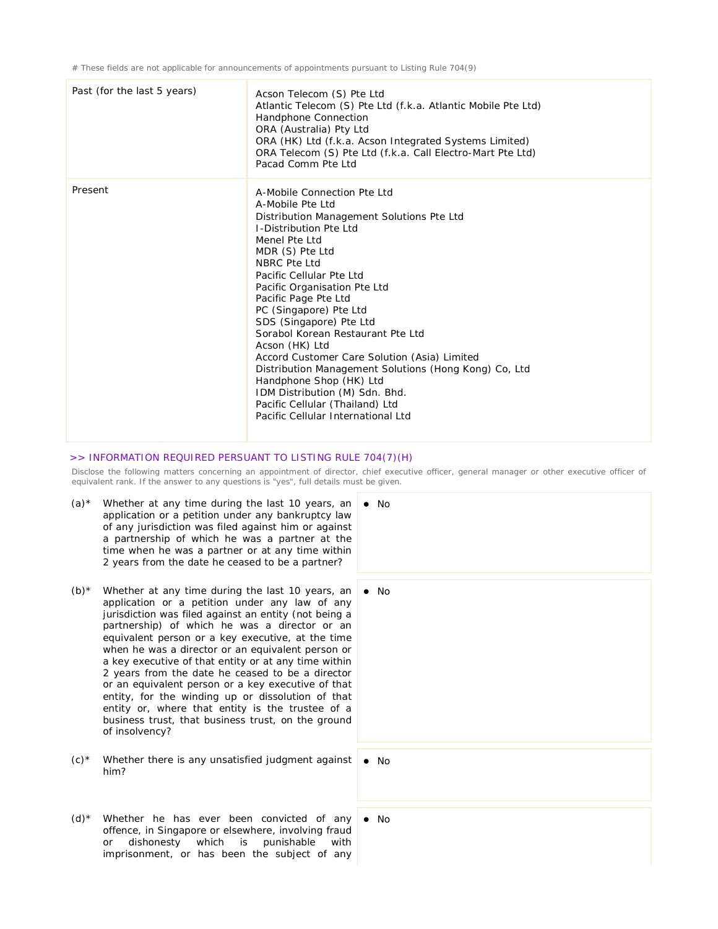*# These fields are not applicable for announcements of appointments pursuant to Listing Rule 704(9)*

| Past (for the last 5 years) | Acson Telecom (S) Pte Ltd<br>Atlantic Telecom (S) Pte Ltd (f.k.a. Atlantic Mobile Pte Ltd)<br>Handphone Connection<br>ORA (Australia) Pty Ltd<br>ORA (HK) Ltd (f.k.a. Acson Integrated Systems Limited)<br>ORA Telecom (S) Pte Ltd (f.k.a. Call Electro-Mart Pte Ltd)<br>Pacad Comm Pte Ltd                                                                                                                                                                                                                                                                                                                                      |
|-----------------------------|----------------------------------------------------------------------------------------------------------------------------------------------------------------------------------------------------------------------------------------------------------------------------------------------------------------------------------------------------------------------------------------------------------------------------------------------------------------------------------------------------------------------------------------------------------------------------------------------------------------------------------|
| Present                     | A-Mobile Connection Pte Ltd<br>A-Mobile Pte Ltd<br>Distribution Management Solutions Pte Ltd<br><b>I-Distribution Pte Ltd</b><br>Menel Pte Ltd<br>MDR (S) Pte Ltd<br>NBRC Pte Ltd<br>Pacific Cellular Pte Ltd<br>Pacific Organisation Pte Ltd<br>Pacific Page Pte Ltd<br>PC (Singapore) Pte Ltd<br>SDS (Singapore) Pte Ltd<br>Sorabol Korean Restaurant Pte Ltd<br>Acson (HK) Ltd<br>Accord Customer Care Solution (Asia) Limited<br>Distribution Management Solutions (Hong Kong) Co, Ltd<br>Handphone Shop (HK) Ltd<br>IDM Distribution (M) Sdn. Bhd.<br>Pacific Cellular (Thailand) Ltd<br>Pacific Cellular International Ltd |

## >> INFORMATION REQUIRED PERSUANT TO LISTING RULE 704(7)(H)

Disclose the following matters concerning an appointment of director, chief executive officer, general manager or other executive officer of *equivalent rank. If the answer to any questions is "yes", full details must be given.*

No

- $(a)$ <sup>\*</sup> Whether at any time during the last 10 years, an application or a petition under any bankruptcy law of any jurisdiction was filed against him or against a partnership of which he was a partner at the time when he was a partner or at any time within 2 years from the date he ceased to be a partner?
- $(b)^*$  Whether at any time during the last 10 years, an application or a petition under any law of any jurisdiction was filed against an entity (not being a partnership) of which he was a director or an equivalent person or a key executive, at the time when he was a director or an equivalent person or a key executive of that entity or at any time within 2 years from the date he ceased to be a director or an equivalent person or a key executive of that entity, for the winding up or dissolution of that entity or, where that entity is the trustee of a business trust, that business trust, on the ground of insolvency?
- $(c)$ <sup>\*</sup> Whether there is any unsatisfied judgment against him?
- (d)\* Whether he has ever been convicted of any offence, in Singapore or elsewhere, involving fraud or dishonesty which is punishable with imprisonment, or has been the subject of any
- No No  $\bullet$  No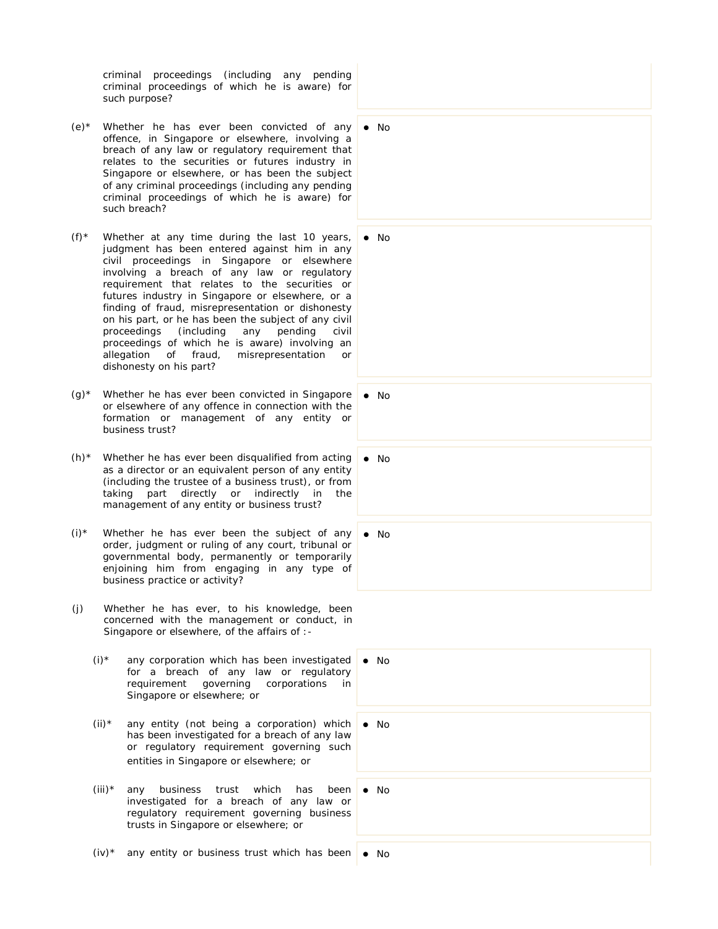criminal proceedings (including any pending criminal proceedings of which he is aware) for such purpose?

- $(e)^*$  Whether he has ever been convicted of any offence, in Singapore or elsewhere, involving a breach of any law or regulatory requirement that relates to the securities or futures industry in Singapore or elsewhere, or has been the subject of any criminal proceedings (including any pending criminal proceedings of which he is aware) for such breach?
- $(f)^*$  Whether at any time during the last 10 years, judgment has been entered against him in any civil proceedings in Singapore or elsewhere involving a breach of any law or regulatory requirement that relates to the securities or futures industry in Singapore or elsewhere, or a finding of fraud, misrepresentation or dishonesty on his part, or he has been the subject of any civil proceedings (including any pending civil proceedings of which he is aware) involving an allegation of fraud, misrepresentation or dishonesty on his part?
- $(q)^*$  Whether he has ever been convicted in Singapore or elsewhere of any offence in connection with the formation or management of any entity or business trust?
- $(h)^*$  Whether he has ever been disqualified from acting as a director or an equivalent person of any entity (including the trustee of a business trust), or from taking part directly or indirectly in the management of any entity or business trust?
- $(i)*$  Whether he has ever been the subject of any order, judgment or ruling of any court, tribunal or governmental body, permanently or temporarily enjoining him from engaging in any type of business practice or activity?
- (j) Whether he has ever, to his knowledge, been concerned with the management or conduct, in Singapore or elsewhere, of the affairs of :-
	- $(i)^*$  any corporation which has been investigated  $\bullet$  No for a breach of any law or regulatory requirement governing corporations in Singapore or elsewhere; or
	- $(ii)*$  any entity (not being a corporation) which has been investigated for a breach of any law or regulatory requirement governing such entities in Singapore or elsewhere; or
	- $(iii)^*$  any business trust which has been investigated for a breach of any law or regulatory requirement governing business trusts in Singapore or elsewhere; or

(iv)\* any entity or business trust which has been  $\bullet$  No

 $\bullet$  No

 $\bullet$  No

 $\bullet$  No

 $\bullet$  No

 $\bullet$  No

 $\bullet$  No

 $\bullet$  No